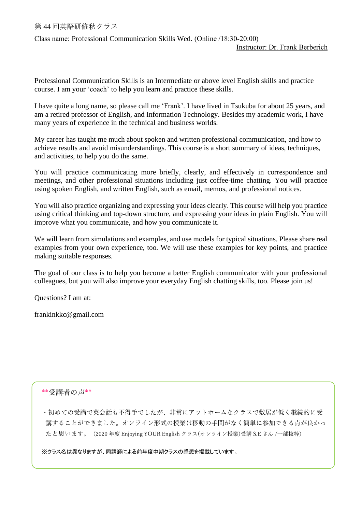## Class name: Professional Communication Skills Wed. (Online /18:30-20:00)

Professional Communication Skills is an Intermediate or above level English skills and practice course. I am your 'coach' to help you learn and practice these skills.

I have quite a long name, so please call me 'Frank'. I have lived in Tsukuba for about 25 years, and am a retired professor of English, and Information Technology. Besides my academic work, I have many years of experience in the technical and business worlds.

My career has taught me much about spoken and written professional communication, and how to achieve results and avoid misunderstandings. This course is a short summary of ideas, techniques, and activities, to help you do the same.

You will practice communicating more briefly, clearly, and effectively in correspondence and meetings, and other professional situations including just coffee-time chatting. You will practice using spoken English, and written English, such as email, memos, and professional notices.

You will also practice organizing and expressing your ideas clearly. This course will help you practice using critical thinking and top-down structure, and expressing your ideas in plain English. You will improve what you communicate, and how you communicate it.

We will learn from simulations and examples, and use models for typical situations. Please share real examples from your own experience, too. We will use these examples for key points, and practice making suitable responses.

The goal of our class is to help you become a better English communicator with your professional colleagues, but you will also improve your everyday English chatting skills, too. Please join us!

Questions? I am at:

frankinkkc@gmail.com

## \*\*受講者の声\*\*

・初めての受講で英会話も不得手でしたが、非常にアットホームなクラスで敷居が低く継続的に受 講することができました。オンライン形式の授業は移動の手間がなく簡単に参加できる点が良かっ たと思います。(2020 年度 Enjoying YOUR English クラス(オンライン授業)受講 S.E さん /一部抜粋)

※クラス名は異なりますが、同講師による前年度中期クラスの感想を掲載しています。